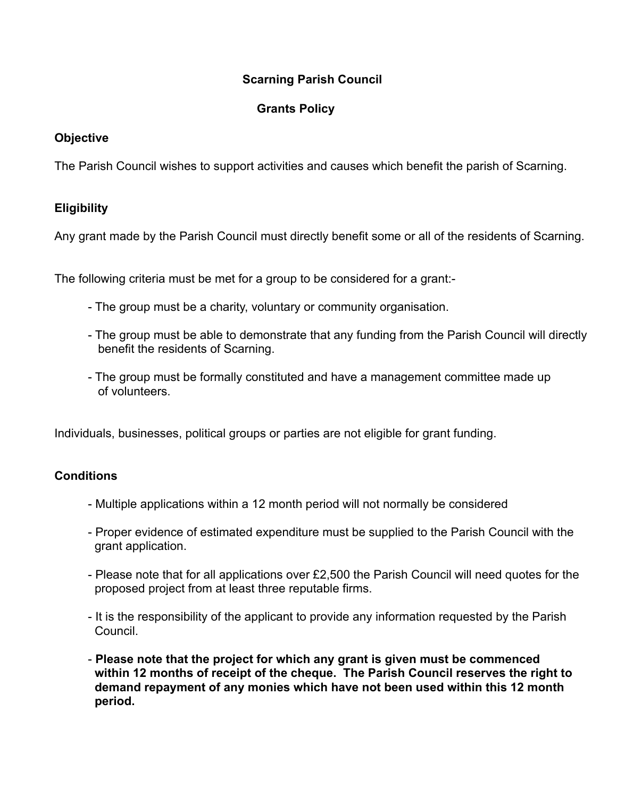# **Scarning Parish Council**

## **Grants Policy**

### **Objective**

The Parish Council wishes to support activities and causes which benefit the parish of Scarning.

# **Eligibility**

Any grant made by the Parish Council must directly benefit some or all of the residents of Scarning.

The following criteria must be met for a group to be considered for a grant:-

- The group must be a charity, voluntary or community organisation.
- The group must be able to demonstrate that any funding from the Parish Council will directly benefit the residents of Scarning.
- The group must be formally constituted and have a management committee made up of volunteers.

Individuals, businesses, political groups or parties are not eligible for grant funding.

### **Conditions**

- Multiple applications within a 12 month period will not normally be considered
- Proper evidence of estimated expenditure must be supplied to the Parish Council with the grant application.
- Please note that for all applications over £2,500 the Parish Council will need quotes for the proposed project from at least three reputable firms.
- It is the responsibility of the applicant to provide any information requested by the Parish Council.
- **Please note that the project for which any grant is given must be commenced within 12 months of receipt of the cheque. The Parish Council reserves the right to demand repayment of any monies which have not been used within this 12 month period.**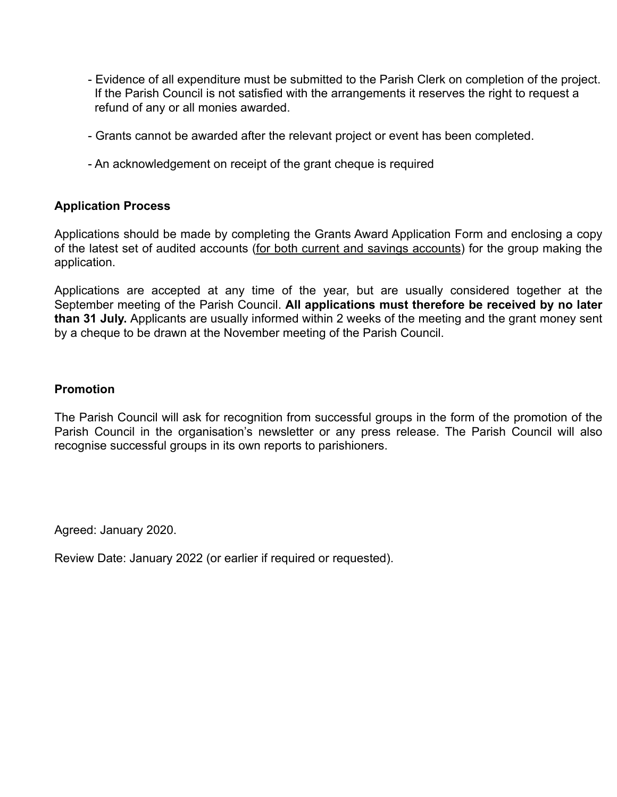- Evidence of all expenditure must be submitted to the Parish Clerk on completion of the project. If the Parish Council is not satisfied with the arrangements it reserves the right to request a refund of any or all monies awarded.
- Grants cannot be awarded after the relevant project or event has been completed.
- An acknowledgement on receipt of the grant cheque is required

### **Application Process**

Applications should be made by completing the Grants Award Application Form and enclosing a copy of the latest set of audited accounts (for both current and savings accounts) for the group making the application.

Applications are accepted at any time of the year, but are usually considered together at the September meeting of the Parish Council. **All applications must therefore be received by no later than 31 July.** Applicants are usually informed within 2 weeks of the meeting and the grant money sent by a cheque to be drawn at the November meeting of the Parish Council.

#### **Promotion**

The Parish Council will ask for recognition from successful groups in the form of the promotion of the Parish Council in the organisation's newsletter or any press release. The Parish Council will also recognise successful groups in its own reports to parishioners.

Agreed: January 2020.

Review Date: January 2022 (or earlier if required or requested).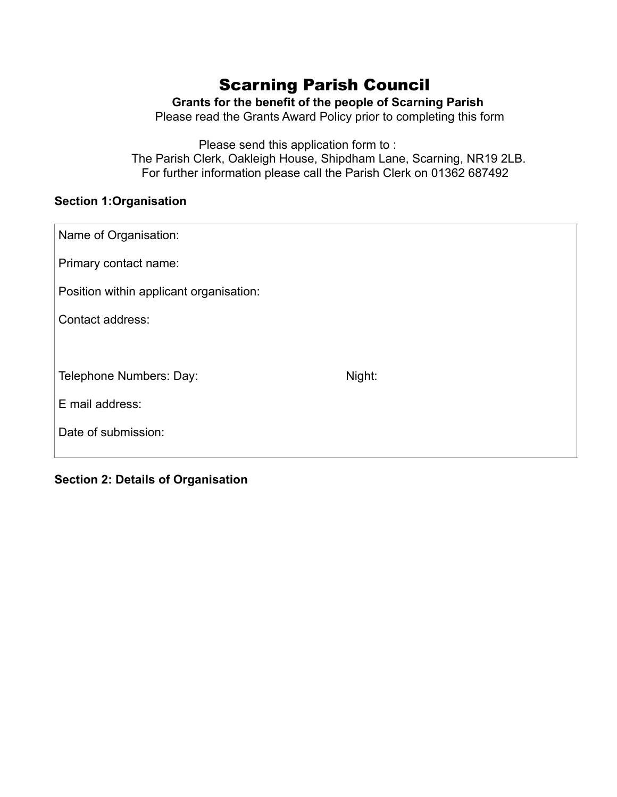# Scarning Parish Council

# **Grants for the benefit of the people of Scarning Parish**

Please read the Grants Award Policy prior to completing this form

 Please send this application form to : The Parish Clerk, Oakleigh House, Shipdham Lane, Scarning, NR19 2LB. For further information please call the Parish Clerk on 01362 687492

# **Section 1:Organisation**

| Name of Organisation:                   |        |
|-----------------------------------------|--------|
| Primary contact name:                   |        |
| Position within applicant organisation: |        |
| Contact address:                        |        |
|                                         |        |
| Telephone Numbers: Day:                 | Night: |
| E mail address:                         |        |
| Date of submission:                     |        |
|                                         |        |

**Section 2: Details of Organisation**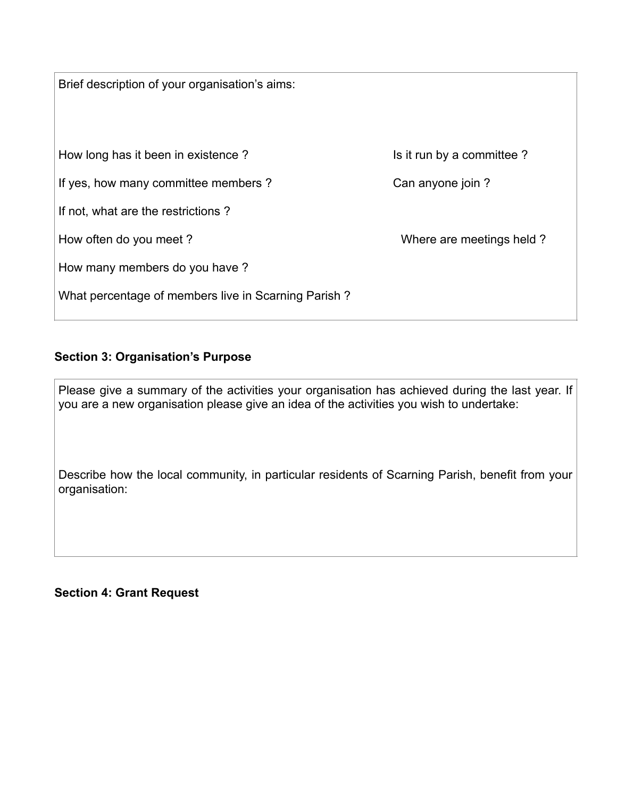Brief description of your organisation's aims: How long has it been in existence ? It is it run by a committee ? If yes, how many committee members ? Can anyone join ? If not, what are the restrictions ? How often do you meet ? How many members do you have ? What percentage of members live in Scarning Parish ?

### **Section 3: Organisation's Purpose**

Please give a summary of the activities your organisation has achieved during the last year. If you are a new organisation please give an idea of the activities you wish to undertake:

Describe how the local community, in particular residents of Scarning Parish, benefit from your organisation:

**Section 4: Grant Request**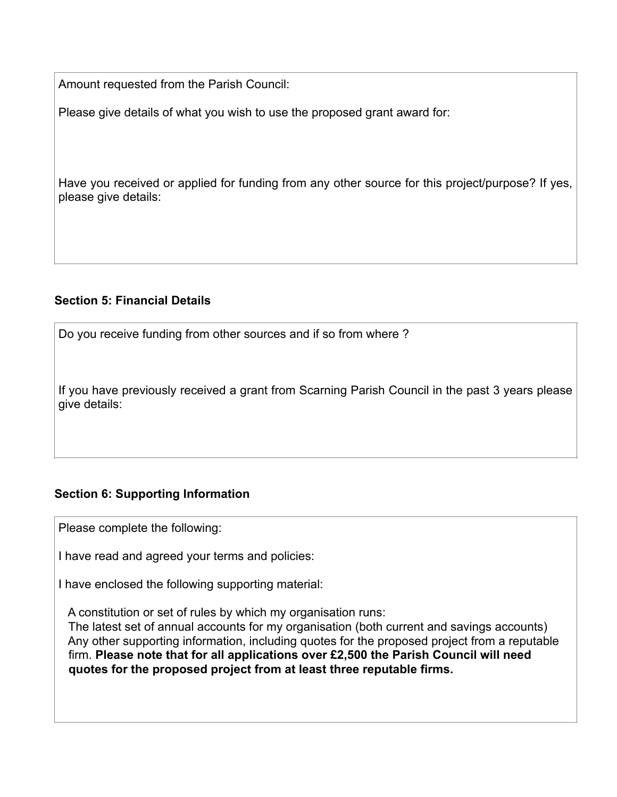Amount requested from the Parish Council:

Please give details of what you wish to use the proposed grant award for:

Have you received or applied for funding from any other source for this project/purpose? If yes, please give details:

### **Section 5: Financial Details**

Do you receive funding from other sources and if so from where ?

If you have previously received a grant from Scarning Parish Council in the past 3 years please give details:

### **Section 6: Supporting Information**

Please complete the following:

I have read and agreed your terms and policies:

I have enclosed the following supporting material:

A constitution or set of rules by which my organisation runs:

 The latest set of annual accounts for my organisation (both current and savings accounts) Any other supporting information, including quotes for the proposed project from a reputable firm. **Please note that for all applications over £2,500 the Parish Council will need quotes for the proposed project from at least three reputable firms.**